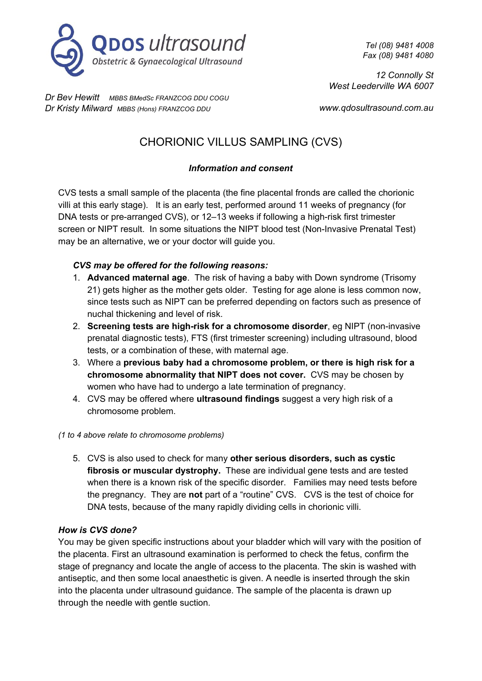

*Tel (08) 9481 4008 Fax (08) 9481 4080*

*12 Connolly St West Leederville WA 6007*

*Dr Bev Hewitt MBBS BMedSc FRANZCOG DDU COGU Dr Kristy Milward MBBS (Hons) FRANZCOG DDU*

*www.qdosultrasound.com.au*

# CHORIONIC VILLUS SAMPLING (CVS)

# *Information and consent*

CVS tests a small sample of the placenta (the fine placental fronds are called the chorionic villi at this early stage). It is an early test, performed around 11 weeks of pregnancy (for DNA tests or pre-arranged CVS), or 12–13 weeks if following a high-risk first trimester screen or NIPT result. In some situations the NIPT blood test (Non-Invasive Prenatal Test) may be an alternative, we or your doctor will guide you.

# *CVS may be offered for the following reasons:*

- 1. **Advanced maternal age**. The risk of having a baby with Down syndrome (Trisomy 21) gets higher as the mother gets older. Testing for age alone is less common now, since tests such as NIPT can be preferred depending on factors such as presence of nuchal thickening and level of risk.
- 2. **Screening tests are high-risk for a chromosome disorder**, eg NIPT (non-invasive prenatal diagnostic tests), FTS (first trimester screening) including ultrasound, blood tests, or a combination of these, with maternal age.
- 3. Where a **previous baby had a chromosome problem, or there is high risk for a chromosome abnormality that NIPT does not cover.** CVS may be chosen by women who have had to undergo a late termination of pregnancy.
- 4. CVS may be offered where **ultrasound findings** suggest a very high risk of a chromosome problem.

## *(1 to 4 above relate to chromosome problems)*

5. CVS is also used to check for many **other serious disorders, such as cystic fibrosis or muscular dystrophy.** These are individual gene tests and are tested when there is a known risk of the specific disorder. Families may need tests before the pregnancy. They are **not** part of a "routine" CVS. CVS is the test of choice for DNA tests, because of the many rapidly dividing cells in chorionic villi.

## *How is CVS done?*

You may be given specific instructions about your bladder which will vary with the position of the placenta. First an ultrasound examination is performed to check the fetus, confirm the stage of pregnancy and locate the angle of access to the placenta. The skin is washed with antiseptic, and then some local anaesthetic is given. A needle is inserted through the skin into the placenta under ultrasound guidance. The sample of the placenta is drawn up through the needle with gentle suction.